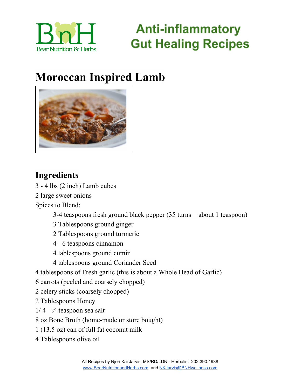

### **Moroccan Inspired Lamb**



#### **Ingredients**

- 4 lbs (2 inch) Lamb cubes

large sweet onions

Spices to Blend:

3-4 teaspoons fresh ground black pepper (35 turns = about 1 teaspoon)

- Tablespoons ground ginger
- Tablespoons ground turmeric
- 6 teaspoons cinnamon
- tablespoons ground cumin
- tablespoons ground Coriander Seed
- tablespoons of Fresh garlic (this is about a Whole Head of Garlic)
- carrots (peeled and coarsely chopped)
- celery sticks (coarsely chopped)
- Tablespoons Honey
- $1/4 \frac{3}{4}$  teaspoon sea salt
- oz Bone Broth (home-made or store bought)
- (13.5 oz) can of full fat coconut milk
- Tablespoons olive oil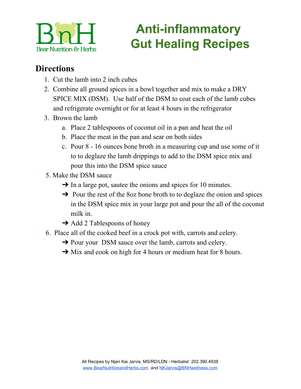

#### **Directions**

- 1. Cut the lamb into 2 inch cubes
- 2. Combine all ground spices in a bowl together and mix to make a DRY SPICE MIX (DSM). Use half of the DSM to coat each of the lamb cubes and refrigerate overnight or for at least 4 hours in the refrigerator
- 3. Brown the lamb
	- a. Place 2 tablespoons of coconut oil in a pan and heat the oil
	- b. Place the meat in the pan and sear on both sides
	- c. Pour 8 16 ounces bone broth in a measuring cup and use some of it to to deglaze the lamb drippings to add to the DSM spice mix and pour this into the DSM spice sauce
- 5. Make the DSM sauce
	- $\rightarrow$  In a large pot, sautee the onions and spices for 10 minutes.
	- $\rightarrow$  Pour the rest of the 8oz bone broth to to deglaze the onion and spices in the DSM spice mix in your large pot and pour the all of the coconut milk in.
	- $\rightarrow$  Add 2 Tablespoons of honey
- 6. Place all of the cooked beef in a crock pot with, carrots and celery.
	- **→** Pour your DSM sauce over the lamb, carrots and celery.
	- **→** Mix and cook on high for 4 hours or medium heat for 8 hours.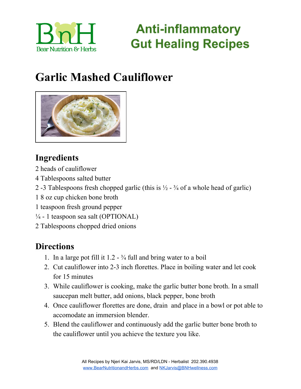

### **Garlic Mashed Cauliflower**



### **Ingredients**

- 2 heads of cauliflower
- 4 Tablespoons salted butter
- 2 -3 Tablespoons fresh chopped garlic (this is  $\frac{1}{2}$   $\frac{3}{4}$  of a whole head of garlic)
- 1 8 oz cup chicken bone broth
- 1 teaspoon fresh ground pepper
- $\frac{1}{4}$  1 teaspoon sea salt (OPTIONAL)
- 2 Tablespoons chopped dried onions

#### **Directions**

- 1. In a large pot fill it  $1.2 \frac{3}{4}$  full and bring water to a boil
- 2. Cut cauliflower into 2-3 inch florettes. Place in boiling water and let cook for 15 minutes
- 3. While cauliflower is cooking, make the garlic butter bone broth. In a small saucepan melt butter, add onions, black pepper, bone broth
- 4. Once cauliflower florettes are done, drain and place in a bowl or pot able to accomodate an immersion blender.
- 5. Blend the cauliflower and continuously add the garlic butter bone broth to the cauliflower until you achieve the texture you like.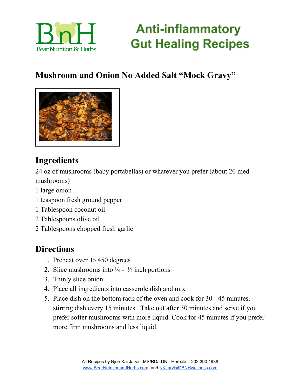

#### **Mushroom and Onion No Added Salt "Mock Gravy"**



#### **Ingredients**

24 oz of mushrooms (baby portabellas) or whatever you prefer (about 20 med mushrooms)

- 1 large onion
- 1 teaspoon fresh ground pepper
- 1 Tablespoon coconut oil
- 2 Tablespoons olive oil
- 2 Tablespoons chopped fresh garlic

#### **Directions**

- 1. Preheat oven to 450 degrees
- 2. Slice mushrooms into  $\frac{1}{4}$   $\frac{1}{2}$  inch portions
- 3. Thinly slice onion
- 4. Place all ingredients into casserole dish and mix
- 5. Place dish on the bottom rack of the oven and cook for 30 45 minutes, stirring dish every 15 minutes. Take out after 30 minutes and serve if you prefer softer mushrooms with more liquid. Cook for 45 minutes if you prefer more firm mushrooms and less liquid.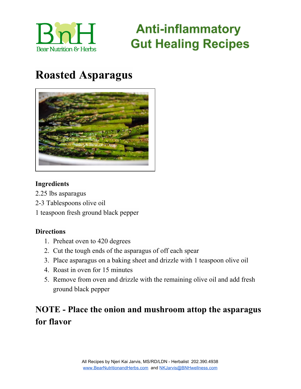

### **Roasted Asparagus**



#### **Ingredients**

- 2.25 lbs asparagus
- 2-3 Tablespoons olive oil
- 1 teaspoon fresh ground black pepper

#### **Directions**

- 1. Preheat oven to 420 degrees
- 2. Cut the tough ends of the asparagus of off each spear
- 3. Place asparagus on a baking sheet and drizzle with 1 teaspoon olive oil
- 4. Roast in oven for 15 minutes
- 5. Remove from oven and drizzle with the remaining olive oil and add fresh ground black pepper

### **NOTE - Place the onion and mushroom attop the asparagus for flavor**